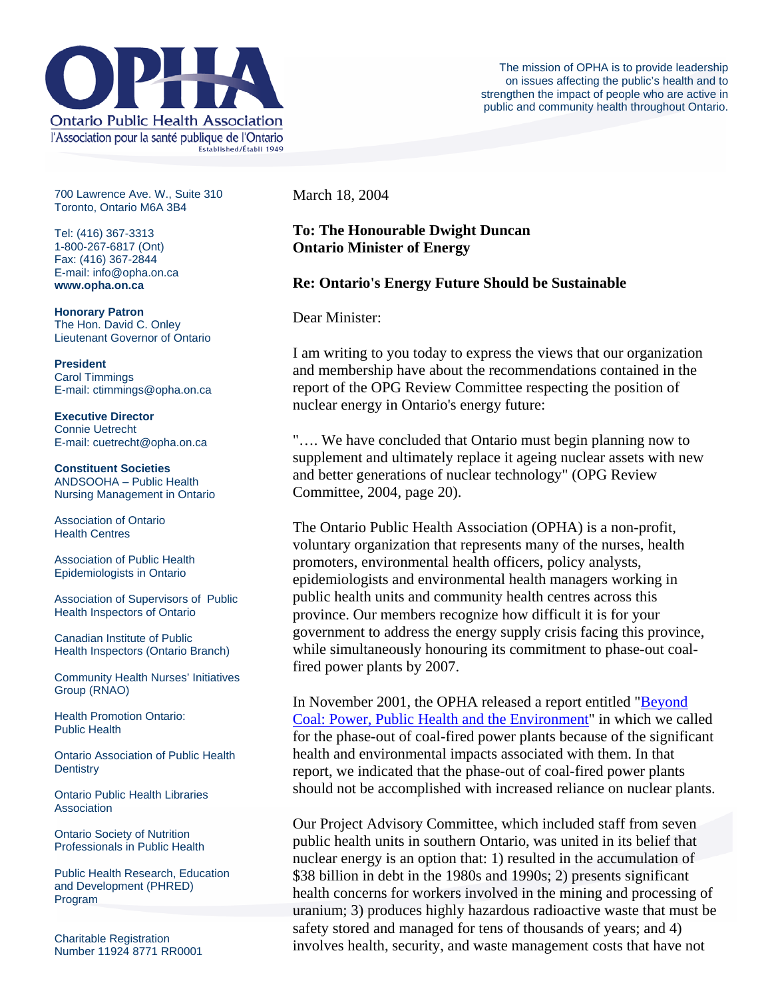

700 Lawrence Ave. W., Suite 310 Toronto, Ontario M6A 3B4

Tel: (416) 367-3313 1-800-267-6817 (Ont) Fax: (416) 367-2844 E-mail: info@opha.on.ca **www.opha.on.ca** 

**Honorary Patron**  The Hon. David C. Onley Lieutenant Governor of Ontario

**President**  Carol Timmings E-mail: ctimmings@opha.on.ca

**Executive Director**  Connie Uetrecht E-mail: cuetrecht@opha.on.ca

**Constituent Societies**  ANDSOOHA – Public Health Nursing Management in Ontario

Association of Ontario Health Centres

Association of Public Health Epidemiologists in Ontario

Association of Supervisors of Public Health Inspectors of Ontario

Canadian Institute of Public Health Inspectors (Ontario Branch)

Community Health Nurses' Initiatives Group (RNAO)

Health Promotion Ontario: Public Health

Ontario Association of Public Health **Dentistry** 

Ontario Public Health Libraries **Association** 

Ontario Society of Nutrition Professionals in Public Health

Public Health Research, Education and Development (PHRED) Program

Charitable Registration Number 11924 8771 RR0001 March 18, 2004

## **To: The Honourable Dwight Duncan Ontario Minister of Energy**

## **Re: Ontario's Energy Future Should be Sustainable**

Dear Minister:

I am writing to you today to express the views that our organization and membership have about the recommendations contained in the report of the OPG Review Committee respecting the position of nuclear energy in Ontario's energy future:

"…. We have concluded that Ontario must begin planning now to supplement and ultimately replace it ageing nuclear assets with new and better generations of nuclear technology" (OPG Review Committee, 2004, page 20).

The Ontario Public Health Association (OPHA) is a non-profit, voluntary organization that represents many of the nurses, health promoters, environmental health officers, policy analysts, epidemiologists and environmental health managers working in public health units and community health centres across this province. Our members recognize how difficult it is for your government to address the energy supply crisis facing this province, while simultaneously honouring its commitment to phase-out coalfired power plants by 2007.

In November 2001, the OPHA released a report entitled ["Beyond](http://76.74.186.129/resources/coal.pdf)  [Coal: Power, Public Health and the Environment](http://76.74.186.129/resources/coal.pdf)" in which we called for the phase-out of coal-fired power plants because of the significant health and environmental impacts associated with them. In that report, we indicated that the phase-out of coal-fired power plants should not be accomplished with increased reliance on nuclear plants.

Our Project Advisory Committee, which included staff from seven public health units in southern Ontario, was united in its belief that nuclear energy is an option that: 1) resulted in the accumulation of \$38 billion in debt in the 1980s and 1990s; 2) presents significant health concerns for workers involved in the mining and processing of uranium; 3) produces highly hazardous radioactive waste that must be safety stored and managed for tens of thousands of years; and 4) involves health, security, and waste management costs that have not